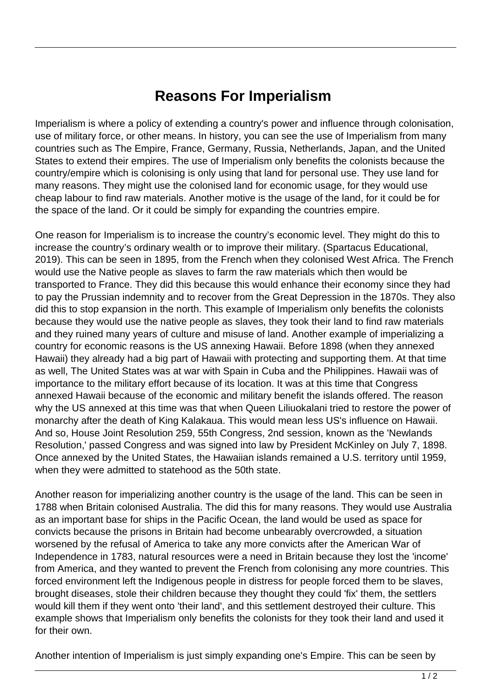## **Reasons For Imperialism**

Imperialism is where a policy of extending a country's power and influence through colonisation, use of military force, or other means. In history, you can see the use of Imperialism from many countries such as The Empire, France, Germany, Russia, Netherlands, Japan, and the United States to extend their empires. The use of Imperialism only benefits the colonists because the country/empire which is colonising is only using that land for personal use. They use land for many reasons. They might use the colonised land for economic usage, for they would use cheap labour to find raw materials. Another motive is the usage of the land, for it could be for the space of the land. Or it could be simply for expanding the countries empire.

One reason for Imperialism is to increase the country's economic level. They might do this to increase the country's ordinary wealth or to improve their military. (Spartacus Educational, 2019). This can be seen in 1895, from the French when they colonised West Africa. The French would use the Native people as slaves to farm the raw materials which then would be transported to France. They did this because this would enhance their economy since they had to pay the Prussian indemnity and to recover from the Great Depression in the 1870s. They also did this to stop expansion in the north. This example of Imperialism only benefits the colonists because they would use the native people as slaves, they took their land to find raw materials and they ruined many years of culture and misuse of land. Another example of imperializing a country for economic reasons is the US annexing Hawaii. Before 1898 (when they annexed Hawaii) they already had a big part of Hawaii with protecting and supporting them. At that time as well, The United States was at war with Spain in Cuba and the Philippines. Hawaii was of importance to the military effort because of its location. It was at this time that Congress annexed Hawaii because of the economic and military benefit the islands offered. The reason why the US annexed at this time was that when Queen Liliuokalani tried to restore the power of monarchy after the death of King Kalakaua. This would mean less US's influence on Hawaii. And so, House Joint Resolution 259, 55th Congress, 2nd session, known as the 'Newlands Resolution,' passed Congress and was signed into law by President McKinley on July 7, 1898. Once annexed by the United States, the Hawaiian islands remained a U.S. territory until 1959, when they were admitted to statehood as the 50th state.

Another reason for imperializing another country is the usage of the land. This can be seen in 1788 when Britain colonised Australia. The did this for many reasons. They would use Australia as an important base for ships in the Pacific Ocean, the land would be used as space for convicts because the prisons in Britain had become unbearably overcrowded, a situation worsened by the refusal of America to take any more convicts after the American War of Independence in 1783, natural resources were a need in Britain because they lost the 'income' from America, and they wanted to prevent the French from colonising any more countries. This forced environment left the Indigenous people in distress for people forced them to be slaves, brought diseases, stole their children because they thought they could 'fix' them, the settlers would kill them if they went onto 'their land', and this settlement destroyed their culture. This example shows that Imperialism only benefits the colonists for they took their land and used it for their own.

Another intention of Imperialism is just simply expanding one's Empire. This can be seen by